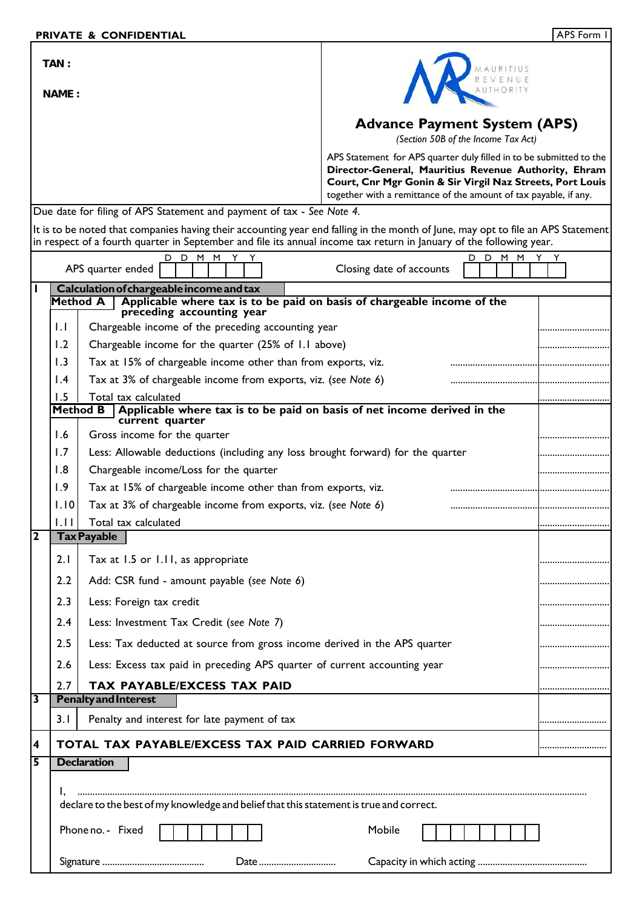| TAN:                                                                                                                                      |                                                                                         |                                                                                                      |                                                                                                                             |                                     |  |  |
|-------------------------------------------------------------------------------------------------------------------------------------------|-----------------------------------------------------------------------------------------|------------------------------------------------------------------------------------------------------|-----------------------------------------------------------------------------------------------------------------------------|-------------------------------------|--|--|
|                                                                                                                                           | <b>NAME :</b>                                                                           |                                                                                                      |                                                                                                                             |                                     |  |  |
|                                                                                                                                           |                                                                                         |                                                                                                      | <b>Advance Payment System (APS)</b>                                                                                         | (Section 50B of the Income Tax Act) |  |  |
|                                                                                                                                           |                                                                                         |                                                                                                      | APS Statement for APS quarter duly filled in to be submitted to the<br>Director-General, Mauritius Revenue Authority, Ehram |                                     |  |  |
|                                                                                                                                           |                                                                                         |                                                                                                      | Court, Cnr Mgr Gonin & Sir Virgil Naz Streets, Port Louis                                                                   |                                     |  |  |
| together with a remittance of the amount of tax payable, if any.<br>Due date for filing of APS Statement and payment of tax - See Note 4. |                                                                                         |                                                                                                      |                                                                                                                             |                                     |  |  |
| It is to be noted that companies having their accounting year end falling in the month of June, may opt to file an APS Statement          |                                                                                         |                                                                                                      |                                                                                                                             |                                     |  |  |
| in respect of a fourth quarter in September and file its annual income tax return in January of the following year.                       |                                                                                         |                                                                                                      |                                                                                                                             |                                     |  |  |
|                                                                                                                                           |                                                                                         | D.<br>M<br>M<br>APS quarter ended                                                                    | Closing date of accounts                                                                                                    | M<br>M<br>D                         |  |  |
|                                                                                                                                           |                                                                                         | Calculation of chargeable income and tax                                                             |                                                                                                                             |                                     |  |  |
|                                                                                                                                           | <b>Method A</b>                                                                         | Applicable where tax is to be paid on basis of chargeable income of the<br>preceding accounting year |                                                                                                                             |                                     |  |  |
|                                                                                                                                           | $\mathsf{L}$                                                                            | Chargeable income of the preceding accounting year                                                   |                                                                                                                             |                                     |  |  |
|                                                                                                                                           | 1.2                                                                                     | Chargeable income for the quarter (25% of 1.1 above)                                                 |                                                                                                                             |                                     |  |  |
|                                                                                                                                           | 1.3                                                                                     | Tax at 15% of chargeable income other than from exports, viz.                                        |                                                                                                                             |                                     |  |  |
|                                                                                                                                           | $\mathsf{I}$ .4                                                                         | Tax at 3% of chargeable income from exports, viz. (see Note 6)                                       |                                                                                                                             |                                     |  |  |
|                                                                                                                                           | 1.5                                                                                     | Total tax calculated<br><b>Method B</b>                                                              |                                                                                                                             |                                     |  |  |
|                                                                                                                                           |                                                                                         | Applicable where tax is to be paid on basis of net income derived in the<br>current quarter          |                                                                                                                             |                                     |  |  |
|                                                                                                                                           | 1.6                                                                                     | Gross income for the quarter                                                                         |                                                                                                                             |                                     |  |  |
|                                                                                                                                           | 1.7                                                                                     | Less: Allowable deductions (including any loss brought forward) for the quarter                      |                                                                                                                             |                                     |  |  |
|                                                                                                                                           | 1.8                                                                                     | Chargeable income/Loss for the quarter                                                               |                                                                                                                             |                                     |  |  |
|                                                                                                                                           | 1.9                                                                                     | Tax at 15% of chargeable income other than from exports, viz.                                        |                                                                                                                             |                                     |  |  |
|                                                                                                                                           | 1.10                                                                                    | Tax at 3% of chargeable income from exports, viz. (see Note 6)                                       |                                                                                                                             |                                     |  |  |
| $\overline{2}$                                                                                                                            | 1.11                                                                                    | Total tax calculated                                                                                 |                                                                                                                             |                                     |  |  |
|                                                                                                                                           |                                                                                         | <b>Tax Payable</b>                                                                                   |                                                                                                                             |                                     |  |  |
|                                                                                                                                           | 2.1                                                                                     | Tax at 1.5 or 1.11, as appropriate                                                                   |                                                                                                                             |                                     |  |  |
|                                                                                                                                           | 2.2                                                                                     | Add: CSR fund - amount payable (see Note 6)                                                          |                                                                                                                             |                                     |  |  |
|                                                                                                                                           | 2.3                                                                                     | Less: Foreign tax credit                                                                             |                                                                                                                             |                                     |  |  |
|                                                                                                                                           | 2.4                                                                                     | Less: Investment Tax Credit (see Note 7)                                                             |                                                                                                                             |                                     |  |  |
|                                                                                                                                           | 2.5                                                                                     | Less: Tax deducted at source from gross income derived in the APS quarter                            |                                                                                                                             |                                     |  |  |
|                                                                                                                                           | 2.6                                                                                     | Less: Excess tax paid in preceding APS quarter of current accounting year                            |                                                                                                                             |                                     |  |  |
|                                                                                                                                           | 2.7                                                                                     | <b>TAX PAYABLE/EXCESS TAX PAID</b>                                                                   |                                                                                                                             |                                     |  |  |
| $\overline{\mathbf{3}}$                                                                                                                   |                                                                                         | <b>Penalty and Interest</b>                                                                          |                                                                                                                             |                                     |  |  |
|                                                                                                                                           | 3.1                                                                                     | Penalty and interest for late payment of tax                                                         |                                                                                                                             |                                     |  |  |
| 4                                                                                                                                         | TOTAL TAX PAYABLE/EXCESS TAX PAID CARRIED FORWARD                                       |                                                                                                      |                                                                                                                             |                                     |  |  |
| 5                                                                                                                                         |                                                                                         | <b>Declaration</b>                                                                                   |                                                                                                                             |                                     |  |  |
|                                                                                                                                           |                                                                                         |                                                                                                      |                                                                                                                             |                                     |  |  |
|                                                                                                                                           | declare to the best of my knowledge and belief that this statement is true and correct. |                                                                                                      |                                                                                                                             |                                     |  |  |
|                                                                                                                                           |                                                                                         |                                                                                                      |                                                                                                                             |                                     |  |  |
|                                                                                                                                           | Phone no. - Fixed<br>Mobile                                                             |                                                                                                      |                                                                                                                             |                                     |  |  |
|                                                                                                                                           | Date                                                                                    |                                                                                                      |                                                                                                                             |                                     |  |  |